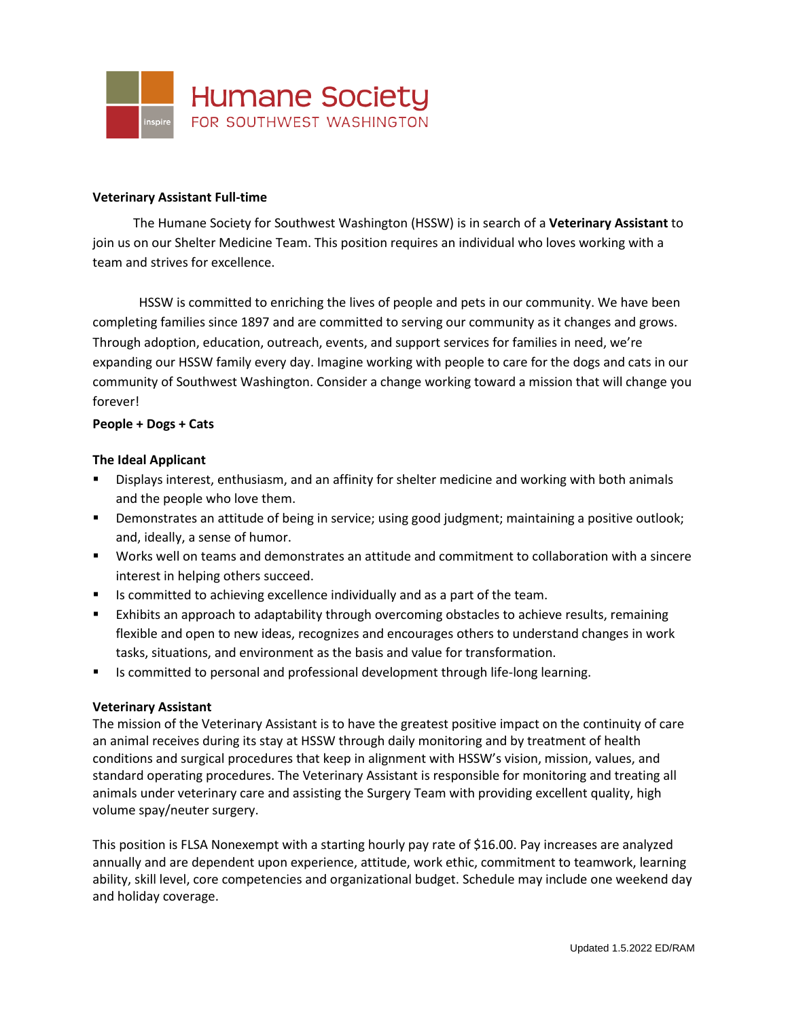

### **Veterinary Assistant Full-time**

The Humane Society for Southwest Washington (HSSW) is in search of a **Veterinary Assistant** to join us on our Shelter Medicine Team. This position requires an individual who loves working with a team and strives for excellence.

HSSW is committed to enriching the lives of people and pets in our community. We have been completing families since 1897 and are committed to serving our community as it changes and grows. Through adoption, education, outreach, events, and support services for families in need, we're expanding our HSSW family every day. Imagine working with people to care for the dogs and cats in our community of Southwest Washington. Consider a change working toward a mission that will change you forever!

### **People + Dogs + Cats**

## **The Ideal Applicant**

- Displays interest, enthusiasm, and an affinity for shelter medicine and working with both animals and the people who love them.
- Demonstrates an attitude of being in service; using good judgment; maintaining a positive outlook; and, ideally, a sense of humor.
- Works well on teams and demonstrates an attitude and commitment to collaboration with a sincere interest in helping others succeed.
- Is committed to achieving excellence individually and as a part of the team.
- Exhibits an approach to adaptability through overcoming obstacles to achieve results, remaining flexible and open to new ideas, recognizes and encourages others to understand changes in work tasks, situations, and environment as the basis and value for transformation.
- Is committed to personal and professional development through life-long learning.

### **Veterinary Assistant**

The mission of the Veterinary Assistant is to have the greatest positive impact on the continuity of care an animal receives during its stay at HSSW through daily monitoring and by treatment of health conditions and surgical procedures that keep in alignment with HSSW's vision, mission, values, and standard operating procedures. The Veterinary Assistant is responsible for monitoring and treating all animals under veterinary care and assisting the Surgery Team with providing excellent quality, high volume spay/neuter surgery.

This position is FLSA Nonexempt with a starting hourly pay rate of \$16.00. Pay increases are analyzed annually and are dependent upon experience, attitude, work ethic, commitment to teamwork, learning ability, skill level, core competencies and organizational budget. Schedule may include one weekend day and holiday coverage.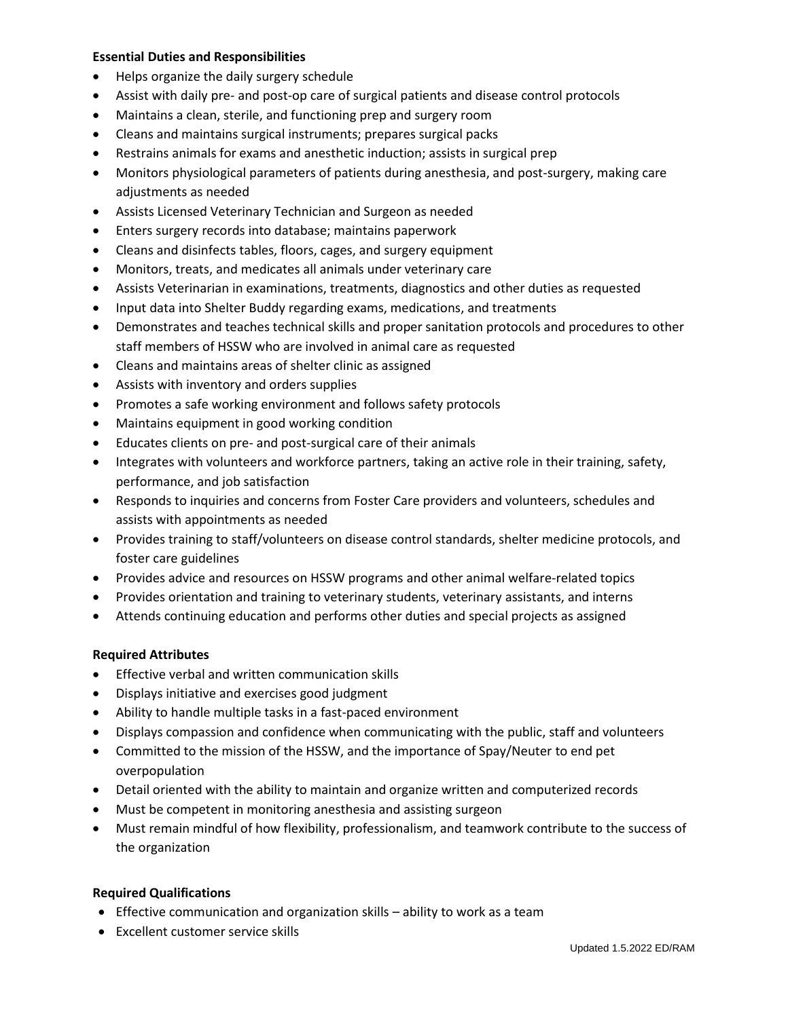## **Essential Duties and Responsibilities**

- Helps organize the daily surgery schedule
- Assist with daily pre- and post-op care of surgical patients and disease control protocols
- Maintains a clean, sterile, and functioning prep and surgery room
- Cleans and maintains surgical instruments; prepares surgical packs
- Restrains animals for exams and anesthetic induction; assists in surgical prep
- Monitors physiological parameters of patients during anesthesia, and post-surgery, making care adjustments as needed
- Assists Licensed Veterinary Technician and Surgeon as needed
- Enters surgery records into database; maintains paperwork
- Cleans and disinfects tables, floors, cages, and surgery equipment
- Monitors, treats, and medicates all animals under veterinary care
- Assists Veterinarian in examinations, treatments, diagnostics and other duties as requested
- Input data into Shelter Buddy regarding exams, medications, and treatments
- Demonstrates and teaches technical skills and proper sanitation protocols and procedures to other staff members of HSSW who are involved in animal care as requested
- Cleans and maintains areas of shelter clinic as assigned
- Assists with inventory and orders supplies
- Promotes a safe working environment and follows safety protocols
- Maintains equipment in good working condition
- Educates clients on pre- and post-surgical care of their animals
- Integrates with volunteers and workforce partners, taking an active role in their training, safety, performance, and job satisfaction
- Responds to inquiries and concerns from Foster Care providers and volunteers, schedules and assists with appointments as needed
- Provides training to staff/volunteers on disease control standards, shelter medicine protocols, and foster care guidelines
- Provides advice and resources on HSSW programs and other animal welfare-related topics
- Provides orientation and training to veterinary students, veterinary assistants, and interns
- Attends continuing education and performs other duties and special projects as assigned

# **Required Attributes**

- Effective verbal and written communication skills
- Displays initiative and exercises good judgment
- Ability to handle multiple tasks in a fast-paced environment
- Displays compassion and confidence when communicating with the public, staff and volunteers
- Committed to the mission of the HSSW, and the importance of Spay/Neuter to end pet overpopulation
- Detail oriented with the ability to maintain and organize written and computerized records
- Must be competent in monitoring anesthesia and assisting surgeon
- Must remain mindful of how flexibility, professionalism, and teamwork contribute to the success of the organization

# **Required Qualifications**

- Effective communication and organization skills ability to work as a team
- Excellent customer service skills